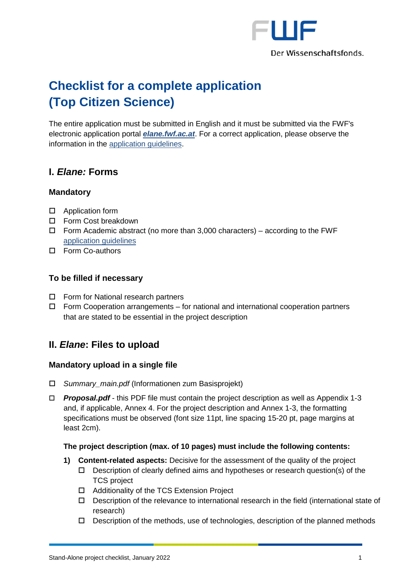

# **Checklist for a complete application (Top Citizen Science)**

The entire application must be submitted in English and it must be submitted via the FWF's electronic application portal *[elane.fwf.ac.at](https://elane.fwf.ac.at/)*. For a correct application, please observe the information in the [application guidelines.](https://www.fwf.ac.at/fileadmin/files/Dokumente/Antragstellung/Top-Citizen-Science/tcs_application-guidelines.pdf)

# **I.** *Elane:* **Forms**

## **Mandatory**

- □ Application form
- □ Form Cost breakdown
- $\Box$  Form Academic abstract (no more than 3,000 characters) according to the FWF [application guidelines](https://www.fwf.ac.at/fileadmin/files/Dokumente/Antragstellung/Top-Citizen-Science/tcs_application-guidelines.pdf)
- □ Form Co-authors

## **To be filled if necessary**

- □ Form for National research partners
- $\Box$  Form Cooperation arrangements for national and international cooperation partners that are stated to be essential in the project description

# **II.** *Elane***: Files to upload**

## **Mandatory upload in a single file**

- *Summary\_main.pdf* (Informationen zum Basisprojekt)
- *Proposal.pdf* this PDF file must contain the project description as well as Appendix 1-3 and, if applicable, Annex 4. For the project description and Annex 1-3, the formatting specifications must be observed (font size 11pt, line spacing 15-20 pt, page margins at least 2cm).

#### **The project description (max. of 10 pages) must include the following contents:**

- **1) Content-related aspects:** Decisive for the assessment of the quality of the project
	- $\Box$  Description of clearly defined aims and hypotheses or research question(s) of the TCS project
	- □ Additionality of the TCS Extension Project
	- $\Box$  Description of the relevance to international research in the field (international state of research)
	- $\Box$  Description of the methods, use of technologies, description of the planned methods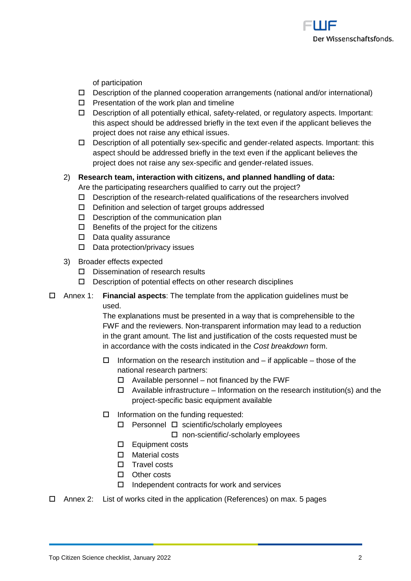

of participation

- $\Box$  Description of the planned cooperation arrangements (national and/or international)
- $\Box$  Presentation of the work plan and timeline
- Description of all potentially ethical, safety-related, or regulatory aspects. Important: this aspect should be addressed briefly in the text even if the applicant believes the project does not raise any ethical issues.
- Description of all potentially sex-specific and gender-related aspects. Important: this aspect should be addressed briefly in the text even if the applicant believes the project does not raise any sex-specific and gender-related issues.

#### 2) **Research team, interaction with citizens, and planned handling of data:**  Are the participating researchers qualified to carry out the project?

- $\Box$  Description of the research-related qualifications of the researchers involved
- $\Box$  Definition and selection of target groups addressed
- $\square$  Description of the communication plan
- $\Box$  Benefits of the project for the citizens
- $\square$  Data quality assurance
- $\square$  Data protection/privacy issues
- 3) Broader effects expected
	- $\square$  Dissemination of research results
	- $\square$  Description of potential effects on other research disciplines

#### Annex 1: **Financial aspects**: The template from the application guidelines must be used.

The explanations must be presented in a way that is comprehensible to the FWF and the reviewers. Non-transparent information may lead to a reduction in the grant amount. The list and justification of the costs requested must be in accordance with the costs indicated in the *Cost breakdown* form.

- $\Box$  Information on the research institution and if applicable those of the national research partners:
	- $\Box$  Available personnel not financed by the FWF
	- $\Box$  Available infrastructure Information on the research institution(s) and the project-specific basic equipment available
- $\square$  Information on the funding requested:
	- $\Box$  Personnel  $\Box$  scientific/scholarly employees
		- □ non-scientific/-scholarly employees
	- Equipment costs
	- □ Material costs
	- $\square$  Travel costs
	- □ Other costs
	- $\Box$  Independent contracts for work and services
- Annex 2: List of works cited in the application (References) on max. 5 pages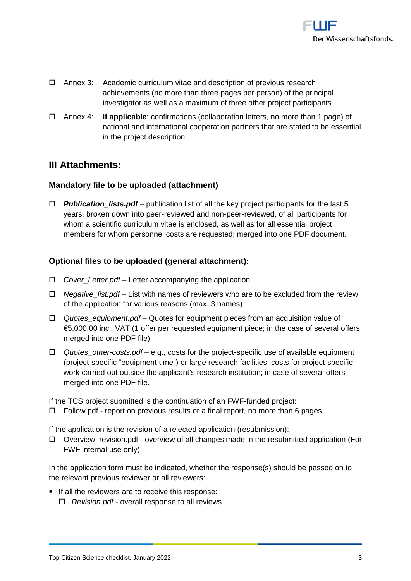

- Annex 3: Academic curriculum vitae and description of previous research achievements (no more than three pages per person) of the principal investigator as well as a maximum of three other project participants
- Annex 4: **If applicable**: confirmations (collaboration letters, no more than 1 page) of national and international cooperation partners that are stated to be essential in the project description.

# **III Attachments:**

## **Mandatory file to be uploaded (attachment)**

 *Publication\_lists.pdf* – publication list of all the key project participants for the last 5 years, broken down into peer-reviewed and non-peer-reviewed, of all participants for whom a scientific curriculum vitae is enclosed, as well as for all essential project members for whom personnel costs are requested; merged into one PDF document.

# **Optional files to be uploaded (general attachment):**

- *Cover\_Letter.pdf* Letter accompanying the application
- *Negative\_list.pdf* List with names of reviewers who are to be excluded from the review of the application for various reasons (max. 3 names)
- *Quotes\_equipment.pdf*  Quotes for equipment pieces from an acquisition value of €5,000.00 incl. VAT (1 offer per requested equipment piece; in the case of several offers merged into one PDF file)
- *Quotes\_other-costs.pdf*  e.g., costs for the project-specific use of available equipment (project-specific "equipment time") or large research facilities, costs for project-specific work carried out outside the applicant's research institution; in case of several offers merged into one PDF file.

If the TCS project submitted is the continuation of an FWF-funded project:

 $\Box$  Follow.pdf - report on previous results or a final report, no more than 6 pages

If the application is the revision of a rejected application (resubmission):

 $\Box$  Overview revision.pdf - overview of all changes made in the resubmitted application (For FWF internal use only)

In the application form must be indicated, whether the response(s) should be passed on to the relevant previous reviewer or all reviewers:

If all the reviewers are to receive this response: *Revision.pdf* - overall response to all reviews